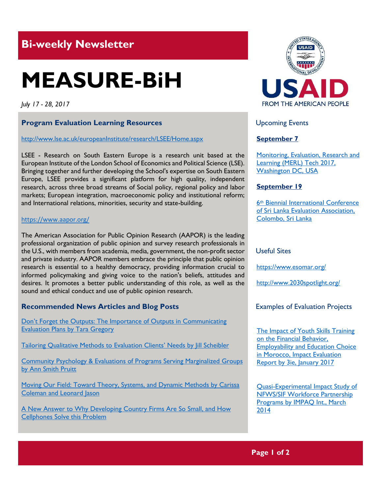# **Bi-weekly Newsletter**

# **MEASURE-BiH**

*July 17 - 28, 2017*

## **Program Evaluation Learning Resources**

#### <http://www.lse.ac.uk/europeanInstitute/research/LSEE/Home.aspx>

LSEE - Research on South Eastern Europe is a research unit based at the European Institute of the London School of Economics and Political Science (LSE). Bringing together and further developing the School's expertise on South Eastern Europe, LSEE provides a significant platform for high quality, independent research, across three broad streams of Social policy, regional policy and labor markets; European integration, macroeconomic policy and institutional reform; and International relations, minorities, security and state-building.

#### <https://www.aapor.org/>

The American Association for Public Opinion Research (AAPOR) is the leading professional organization of public opinion and survey research professionals in the U.S., with members from academia, media, government, the non-profit sector and private industry. AAPOR members embrace the principle that public opinion research is essential to a healthy democracy, providing information crucial to informed policymaking and giving voice to the nation's beliefs, attitudes and desires. It promotes a better public understanding of this role, as well as the sound and ethical conduct and use of public opinion research.

### **Recommended News Articles and Blog Posts**

Don['t Forget the Outputs: The Importance of Outputs in Communicating](http://aea365.org/blog/cp-tig-week-tara-gregory-on-dont-forget-the-outputs-the-importance-of-outputs-in-communicating-evaluation-plans/?utm_source=feedburner&utm_medium=feed&utm_campaign=Feed%3A+aea365+%28AEA365%29)  [Evaluation Plans by Tara Gregory](http://aea365.org/blog/cp-tig-week-tara-gregory-on-dont-forget-the-outputs-the-importance-of-outputs-in-communicating-evaluation-plans/?utm_source=feedburner&utm_medium=feed&utm_campaign=Feed%3A+aea365+%28AEA365%29)

[Tailoring Qualitative Methods to Evaluation Clients](http://aea365.org/blog/cp-tig-week-jill-scheibler-on-tailoring-qualitative-methods-to-evaluation-clients-needs/?utm_source=feedburner&utm_medium=feed&utm_campaign=Feed%3A+aea365+%28AEA365%29)' Needs by Jill Scheibler

[Community Psychology & Evaluations of Programs Serving Marginalized Groups](http://aea365.org/blog/cp-tig-week-ann-smith-pruitt-on-community-psychology-evaluations-of-programs-serving-marginalized-groups/?utm_source=feedburner&utm_medium=feed&utm_campaign=Feed%3A+aea365+%28AEA365%29)  [by Ann Smith Pruitt](http://aea365.org/blog/cp-tig-week-ann-smith-pruitt-on-community-psychology-evaluations-of-programs-serving-marginalized-groups/?utm_source=feedburner&utm_medium=feed&utm_campaign=Feed%3A+aea365+%28AEA365%29)

[Moving Our Field: Toward Theory, Systems, and Dynamic Methods by Carissa](http://aea365.org/blog/cp-tig-week-carissa-coleman-and-leonard-jason-on-moving-our-field-toward-theory-systems-and-dynamic-methods/?utm_source=feedburner&utm_medium=feed&utm_campaign=Feed%3A+aea365+%28AEA365%29)  [Coleman and Leonard Jason](http://aea365.org/blog/cp-tig-week-carissa-coleman-and-leonard-jason-on-moving-our-field-toward-theory-systems-and-dynamic-methods/?utm_source=feedburner&utm_medium=feed&utm_campaign=Feed%3A+aea365+%28AEA365%29)

[A New Answer to Why Developing Country Firms Are So Small, and How](https://blogs.worldbank.org/impactevaluations/new-answer-why-developing-country-firms-are-so-small-and-how-cellphones-solve-problem)  [Cellphones Solve this Problem](https://blogs.worldbank.org/impactevaluations/new-answer-why-developing-country-firms-are-so-small-and-how-cellphones-solve-problem)



Upcoming Events

### **September 7**

[Monitoring, Evaluation, Research and](http://mande.co.uk/conferences/?event_id1=35)  [Learning \(MERL\) Tech 2017,](http://mande.co.uk/conferences/?event_id1=35)  [Washington DC, USA](http://mande.co.uk/conferences/?event_id1=35)

#### **September 19**

6th [Biennial International Conference](http://mande.co.uk/conferences/?event_id1=34)  [of Sri Lanka Evaluation Association,](http://mande.co.uk/conferences/?event_id1=34)  [Colombo, Sri Lanka](http://mande.co.uk/conferences/?event_id1=34)

#### Useful Sites

[https://w](https://euagencies.eu/)ww.esomar.org/

http://www.2030spotlight.org/

### Examples of Evaluation Projects

The Impact of Youth Skills Training [on the Financial Behavior,](http://www.3ieimpact.org/media/filer_public/2017/02/08/ie54-morocco-meda.pdf)  **Employability and Education Choice** [in Morocco, Impact Evaluation](http://www.3ieimpact.org/media/filer_public/2017/02/08/ie54-morocco-meda.pdf)  [Report by 3ie, January 2017](http://www.3ieimpact.org/media/filer_public/2017/02/08/ie54-morocco-meda.pdf)

[Quasi-Experimental Impact Study of](http://www.impaqint.com/sites/default/files/files/NFWS%20Quasi-Experimental%20Impact%20Study%20-%20March%202014%20-%20Release%20Copy-1.pdf)  [NFWS/SIF Workforce Partnership](http://www.impaqint.com/sites/default/files/files/NFWS%20Quasi-Experimental%20Impact%20Study%20-%20March%202014%20-%20Release%20Copy-1.pdf)  [Programs by IMPAQ Int., March](http://www.impaqint.com/sites/default/files/files/NFWS%20Quasi-Experimental%20Impact%20Study%20-%20March%202014%20-%20Release%20Copy-1.pdf)  [2014](http://www.impaqint.com/sites/default/files/files/NFWS%20Quasi-Experimental%20Impact%20Study%20-%20March%202014%20-%20Release%20Copy-1.pdf)